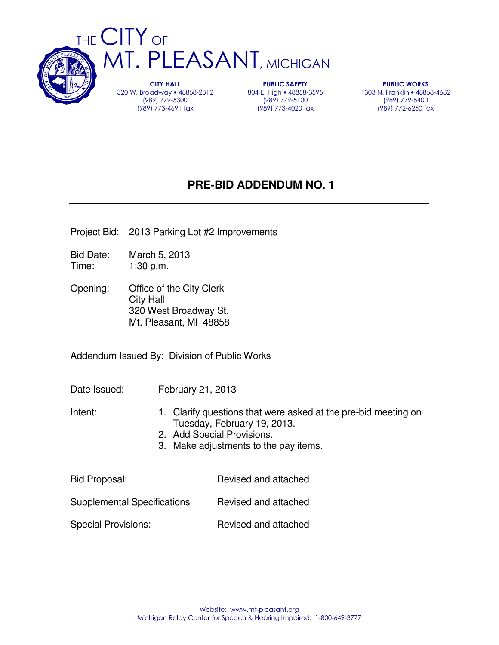

CITY HALL 320 W. Broadway • 48858-2312 (989) 779-5300 (989) 773-4691 fax

PUBLIC SAFETY 804 E. High • 48858-3595 (989) 779-5100 (989) 773-4020 fax

PUBLIC WORKS 1303 N. Franklin • 48858-4682 (989) 779-5400 (989) 772-6250 fax

# **PRE-BID ADDENDUM NO. 1**

- Project Bid: 2013 Parking Lot #2 Improvements
- Bid Date: March 5, 2013 Time: 1:30 p.m.
- Opening: Office of the City Clerk City Hall 320 West Broadway St. Mt. Pleasant, MI 48858

Addendum Issued By: Division of Public Works

Date Issued: February 21, 2013

- Intent: 1. Clarify questions that were asked at the pre-bid meeting on Tuesday, February 19, 2013.
	- 2. Add Special Provisions.
	- 3. Make adjustments to the pay items.

| <b>Bid Proposal:</b>               | Revised and attached |
|------------------------------------|----------------------|
| <b>Supplemental Specifications</b> | Revised and attached |
| <b>Special Provisions:</b>         | Revised and attached |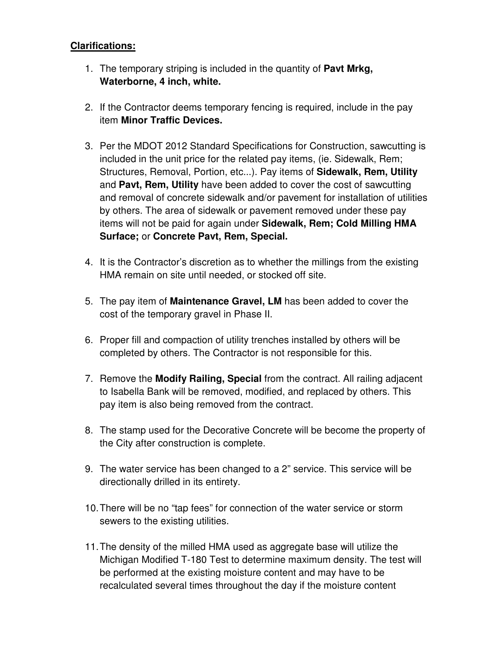# **Clarifications:**

- 1. The temporary striping is included in the quantity of **Pavt Mrkg, Waterborne, 4 inch, white.**
- 2. If the Contractor deems temporary fencing is required, include in the pay item **Minor Traffic Devices.**
- 3. Per the MDOT 2012 Standard Specifications for Construction, sawcutting is included in the unit price for the related pay items, (ie. Sidewalk, Rem; Structures, Removal, Portion, etc...). Pay items of **Sidewalk, Rem, Utility** and **Pavt, Rem, Utility** have been added to cover the cost of sawcutting and removal of concrete sidewalk and/or pavement for installation of utilities by others. The area of sidewalk or pavement removed under these pay items will not be paid for again under **Sidewalk, Rem; Cold Milling HMA Surface;** or **Concrete Pavt, Rem, Special.**
- 4. It is the Contractor's discretion as to whether the millings from the existing HMA remain on site until needed, or stocked off site.
- 5. The pay item of **Maintenance Gravel, LM** has been added to cover the cost of the temporary gravel in Phase II.
- 6. Proper fill and compaction of utility trenches installed by others will be completed by others. The Contractor is not responsible for this.
- 7. Remove the **Modify Railing, Special** from the contract. All railing adjacent to Isabella Bank will be removed, modified, and replaced by others. This pay item is also being removed from the contract.
- 8. The stamp used for the Decorative Concrete will be become the property of the City after construction is complete.
- 9. The water service has been changed to a 2" service. This service will be directionally drilled in its entirety.
- 10. There will be no "tap fees" for connection of the water service or storm sewers to the existing utilities.
- 11. The density of the milled HMA used as aggregate base will utilize the Michigan Modified T-180 Test to determine maximum density. The test will be performed at the existing moisture content and may have to be recalculated several times throughout the day if the moisture content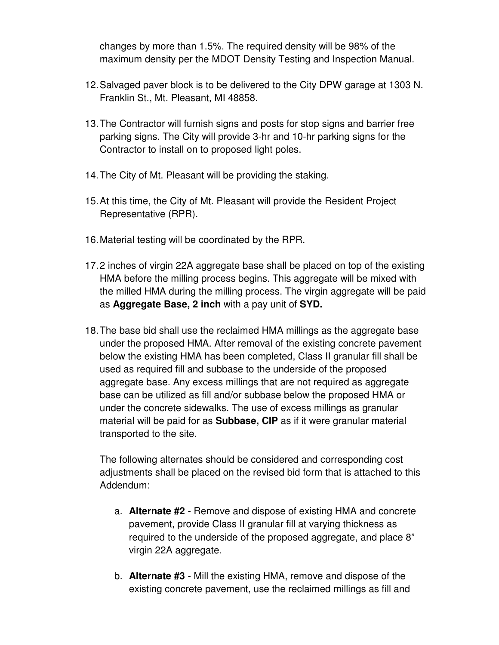changes by more than 1.5%. The required density will be 98% of the maximum density per the MDOT Density Testing and Inspection Manual.

- 12. Salvaged paver block is to be delivered to the City DPW garage at 1303 N. Franklin St., Mt. Pleasant, MI 48858.
- 13. The Contractor will furnish signs and posts for stop signs and barrier free parking signs. The City will provide 3-hr and 10-hr parking signs for the Contractor to install on to proposed light poles.
- 14. The City of Mt. Pleasant will be providing the staking.
- 15. At this time, the City of Mt. Pleasant will provide the Resident Project Representative (RPR).
- 16. Material testing will be coordinated by the RPR.
- 17. 2 inches of virgin 22A aggregate base shall be placed on top of the existing HMA before the milling process begins. This aggregate will be mixed with the milled HMA during the milling process. The virgin aggregate will be paid as **Aggregate Base, 2 inch** with a pay unit of **SYD.**
- 18. The base bid shall use the reclaimed HMA millings as the aggregate base under the proposed HMA. After removal of the existing concrete pavement below the existing HMA has been completed, Class II granular fill shall be used as required fill and subbase to the underside of the proposed aggregate base. Any excess millings that are not required as aggregate base can be utilized as fill and/or subbase below the proposed HMA or under the concrete sidewalks. The use of excess millings as granular material will be paid for as **Subbase, CIP** as if it were granular material transported to the site.

The following alternates should be considered and corresponding cost adjustments shall be placed on the revised bid form that is attached to this Addendum:

- a. **Alternate #2**  Remove and dispose of existing HMA and concrete pavement, provide Class II granular fill at varying thickness as required to the underside of the proposed aggregate, and place 8" virgin 22A aggregate.
- b. **Alternate #3**  Mill the existing HMA, remove and dispose of the existing concrete pavement, use the reclaimed millings as fill and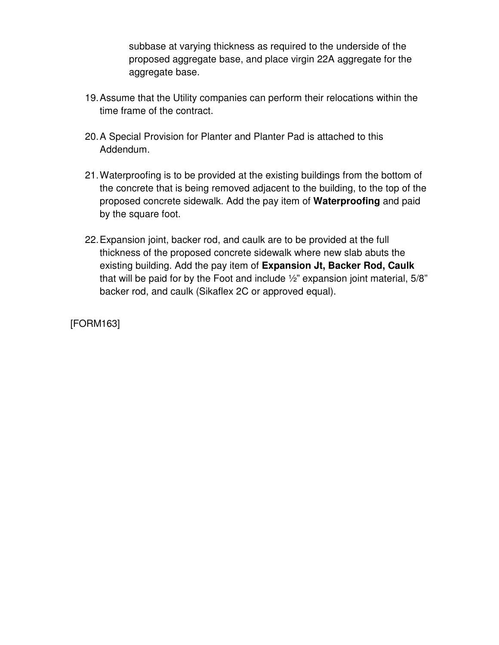subbase at varying thickness as required to the underside of the proposed aggregate base, and place virgin 22A aggregate for the aggregate base.

- 19. Assume that the Utility companies can perform their relocations within the time frame of the contract.
- 20. A Special Provision for Planter and Planter Pad is attached to this Addendum.
- 21. Waterproofing is to be provided at the existing buildings from the bottom of the concrete that is being removed adjacent to the building, to the top of the proposed concrete sidewalk. Add the pay item of **Waterproofing** and paid by the square foot.
- 22. Expansion joint, backer rod, and caulk are to be provided at the full thickness of the proposed concrete sidewalk where new slab abuts the existing building. Add the pay item of **Expansion Jt, Backer Rod, Caulk** that will be paid for by the Foot and include ½" expansion joint material, 5/8" backer rod, and caulk (Sikaflex 2C or approved equal).

[FORM163]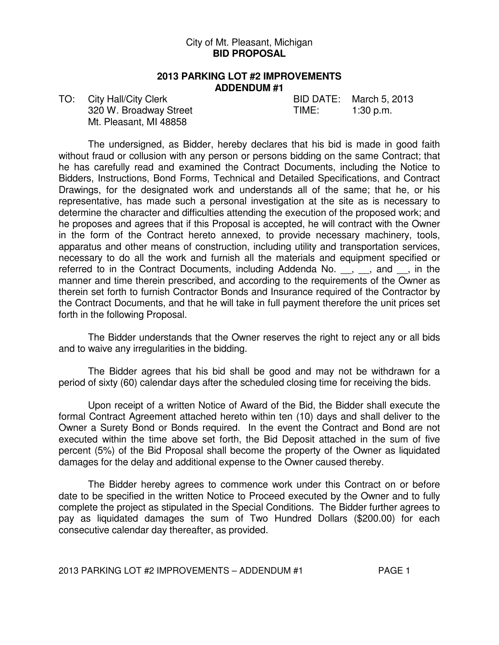### City of Mt. Pleasant, Michigan **BID PROPOSAL**

### **2013 PARKING LOT #2 IMPROVEMENTS ADDENDUM #1**

320 W. Broadway Street TIME: 1:30 p.m. Mt. Pleasant, MI 48858

TO: City Hall/City Clerk BID DATE: March 5, 2013

 The undersigned, as Bidder, hereby declares that his bid is made in good faith without fraud or collusion with any person or persons bidding on the same Contract; that he has carefully read and examined the Contract Documents, including the Notice to Bidders, Instructions, Bond Forms, Technical and Detailed Specifications, and Contract Drawings, for the designated work and understands all of the same; that he, or his representative, has made such a personal investigation at the site as is necessary to determine the character and difficulties attending the execution of the proposed work; and he proposes and agrees that if this Proposal is accepted, he will contract with the Owner in the form of the Contract hereto annexed, to provide necessary machinery, tools, apparatus and other means of construction, including utility and transportation services, necessary to do all the work and furnish all the materials and equipment specified or referred to in the Contract Documents, including Addenda No. \_\_, \_\_, and \_\_, in the manner and time therein prescribed, and according to the requirements of the Owner as therein set forth to furnish Contractor Bonds and Insurance required of the Contractor by the Contract Documents, and that he will take in full payment therefore the unit prices set forth in the following Proposal.

 The Bidder understands that the Owner reserves the right to reject any or all bids and to waive any irregularities in the bidding.

 The Bidder agrees that his bid shall be good and may not be withdrawn for a period of sixty (60) calendar days after the scheduled closing time for receiving the bids.

 Upon receipt of a written Notice of Award of the Bid, the Bidder shall execute the formal Contract Agreement attached hereto within ten (10) days and shall deliver to the Owner a Surety Bond or Bonds required. In the event the Contract and Bond are not executed within the time above set forth, the Bid Deposit attached in the sum of five percent (5%) of the Bid Proposal shall become the property of the Owner as liquidated damages for the delay and additional expense to the Owner caused thereby.

 The Bidder hereby agrees to commence work under this Contract on or before date to be specified in the written Notice to Proceed executed by the Owner and to fully complete the project as stipulated in the Special Conditions. The Bidder further agrees to pay as liquidated damages the sum of Two Hundred Dollars (\$200.00) for each consecutive calendar day thereafter, as provided.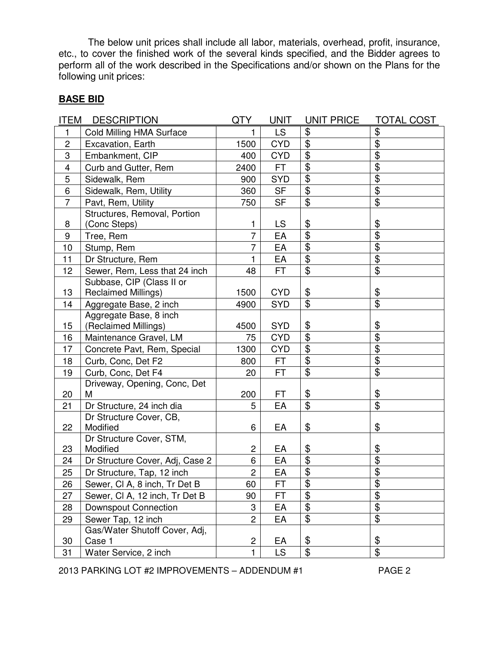The below unit prices shall include all labor, materials, overhead, profit, insurance, etc., to cover the finished work of the several kinds specified, and the Bidder agrees to perform all of the work described in the Specifications and/or shown on the Plans for the following unit prices:

# **BASE BID**

| ITEM                    | <b>DESCRIPTION</b>                      | QTY                     | <b>UNIT</b> | UNIT PRICE                | <b>TOTAL COST</b>            |
|-------------------------|-----------------------------------------|-------------------------|-------------|---------------------------|------------------------------|
| 1                       | Cold Milling HMA Surface                | 1                       | <b>LS</b>   | \$                        | \$                           |
| $\overline{c}$          | Excavation, Earth                       | 1500                    | <b>CYD</b>  | $\overline{\mathbf{e}}$   | $\overline{\$}$              |
| 3                       | Embankment, CIP                         | 400                     | <b>CYD</b>  | \$                        | \$                           |
| $\overline{\mathbf{4}}$ | Curb and Gutter, Rem                    | 2400                    | FT.         | $\overline{\mathbf{e}}$   | $\overline{\$}$              |
| $\sqrt{5}$              | Sidewalk, Rem                           | 900                     | <b>SYD</b>  | \$                        | $\overline{\$}$              |
| 6                       | Sidewalk, Rem, Utility                  | 360                     | <b>SF</b>   | \$                        | $\overline{\$}$              |
| $\overline{7}$          | Pavt, Rem, Utility                      | 750                     | <b>SF</b>   | \$                        | $\overline{\mathbf{e}}$      |
|                         | Structures, Removal, Portion            |                         |             |                           |                              |
| 8                       | (Conc Steps)                            | 1                       | LS          | \$                        | \$                           |
| 9                       | Tree, Rem                               | $\overline{7}$          | EA          | $\overline{\mathbf{e}}$   | $\overline{\$}$              |
| 10                      | Stump, Rem                              | $\overline{7}$          | EA          | \$                        | $\overline{\$}$              |
| 11                      | Dr Structure, Rem                       | 1                       | EA          | \$                        | $\overline{\$}$              |
| 12                      | Sewer, Rem, Less that 24 inch           | 48                      | <b>FT</b>   | \$                        | \$                           |
|                         | Subbase, CIP (Class II or               |                         |             |                           |                              |
| 13                      | <b>Reclaimed Millings)</b>              | 1500                    | <b>CYD</b>  | \$                        | \$                           |
| 14                      | Aggregate Base, 2 inch                  | 4900                    | <b>SYD</b>  | $\overline{\mathbf{e}}$   | $\overline{\$}$              |
|                         | Aggregate Base, 8 inch                  |                         |             |                           |                              |
| 15                      | (Reclaimed Millings)                    | 4500                    | <b>SYD</b>  | \$                        | \$                           |
| 16                      | Maintenance Gravel, LM                  | 75                      | <b>CYD</b>  | $\overline{\mathbf{e}}$   | $\overline{\$}$              |
| 17                      | Concrete Pavt, Rem, Special             | 1300                    | <b>CYD</b>  | \$                        | $\overline{\mathbf{G}}$      |
| 18                      | Curb, Conc, Det F2                      | 800                     | FT.         | \$                        | $\overline{\mathbf{G}}$      |
| 19                      | Curb, Conc, Det F4                      | 20                      | <b>FT</b>   | \$                        | $\overline{\mathbf{e}}$      |
|                         | Driveway, Opening, Conc, Det            |                         |             |                           |                              |
| 20                      | м                                       | 200                     | FT          | \$                        | \$                           |
| 21                      | Dr Structure, 24 inch dia               | 5                       | EA          | $\overline{\mathcal{S}}$  | $\overline{\mathfrak{s}}$    |
|                         | Dr Structure Cover, CB,                 |                         |             |                           |                              |
| 22                      | Modified                                | 6                       | EA          | \$                        | \$                           |
| 23                      | Dr Structure Cover, STM,<br>Modified    | $\overline{c}$          | EA          | \$                        | \$                           |
| 24                      |                                         | 6                       | EA          | $\overline{\mathbf{e}}$   | $\overline{\$}$              |
| 25                      | Dr Structure Cover, Adj, Case 2         | $\overline{2}$          | EA          | $\overline{\mathfrak{s}}$ | $\overline{\$}$              |
|                         | Dr Structure, Tap, 12 inch              |                         |             | \$                        | \$                           |
| 26                      | Sewer, CI A, 8 inch, Tr Det B           | 60                      | <b>FT</b>   | $\overline{\mathbf{G}}$   | $\overline{\$}$              |
| 27                      | Sewer, CI A, 12 inch, Tr Det B          | 90                      | FT          |                           | $\overline{\mathbf{\theta}}$ |
| 28                      | <b>Downspout Connection</b>             | 3                       | EA          | \$                        | $\overline{\$}$              |
| 29                      | Sewer Tap, 12 inch                      | $\overline{c}$          | EA          | \$                        |                              |
| 30                      | Gas/Water Shutoff Cover, Adj,<br>Case 1 | $\overline{\mathbf{c}}$ | EA          | \$                        | \$                           |
|                         |                                         |                         |             |                           |                              |
| 31                      | Water Service, 2 inch                   | $\mathbf{1}$            | <b>LS</b>   | \$                        | $\overline{\$}$              |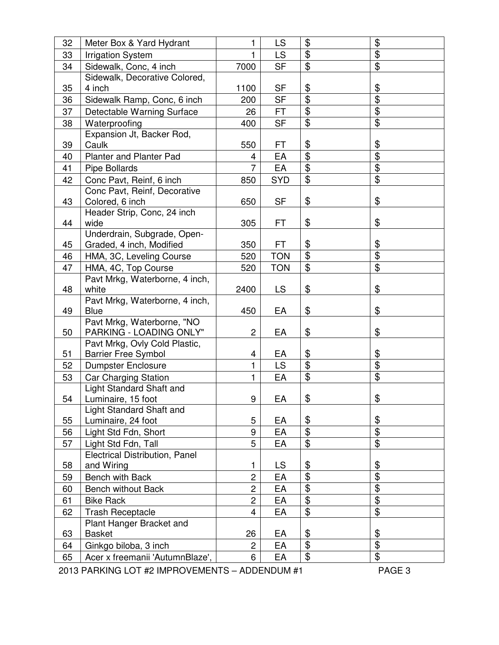| 32 | Meter Box & Yard Hydrant                                                                                                                                                                                                                                                                                                                                                                 | 1              | LS                   | \$                        | \$                        |
|----|------------------------------------------------------------------------------------------------------------------------------------------------------------------------------------------------------------------------------------------------------------------------------------------------------------------------------------------------------------------------------------------|----------------|----------------------|---------------------------|---------------------------|
| 33 | <b>Irrigation System</b>                                                                                                                                                                                                                                                                                                                                                                 | 1              | <b>LS</b>            | \$                        | \$                        |
| 34 | Sidewalk, Conc, 4 inch                                                                                                                                                                                                                                                                                                                                                                   | 7000           | <b>SF</b>            | $\overline{\mathbf{e}}$   | $\overline{\$}$           |
|    | Sidewalk, Decorative Colored,                                                                                                                                                                                                                                                                                                                                                            |                |                      |                           |                           |
| 35 | 4 inch                                                                                                                                                                                                                                                                                                                                                                                   | 1100           | SF                   | \$                        | \$                        |
| 36 | Sidewalk Ramp, Conc, 6 inch                                                                                                                                                                                                                                                                                                                                                              | 200            | <b>SF</b>            | $\overline{\mathfrak{s}}$ | $\overline{\mathfrak{s}}$ |
| 37 | Detectable Warning Surface                                                                                                                                                                                                                                                                                                                                                               | 26             | <b>FT</b>            | $\overline{\mathbf{G}}$   | $\overline{\$}$           |
| 38 | Waterproofing                                                                                                                                                                                                                                                                                                                                                                            | 400            | <b>SF</b>            | \$                        | \$                        |
|    | Expansion Jt, Backer Rod,                                                                                                                                                                                                                                                                                                                                                                |                |                      |                           |                           |
| 39 | Caulk                                                                                                                                                                                                                                                                                                                                                                                    | 550            | FT                   | \$                        | \$                        |
| 40 | <b>Planter and Planter Pad</b>                                                                                                                                                                                                                                                                                                                                                           | 4              | EA                   | $\overline{\$}$           | $\overline{\mathbf{G}}$   |
| 41 | <b>Pipe Bollards</b>                                                                                                                                                                                                                                                                                                                                                                     | 7              | EA                   | \$                        | \$                        |
| 42 | Conc Pavt, Reinf, 6 inch                                                                                                                                                                                                                                                                                                                                                                 | 850            | <b>SYD</b>           | \$                        | $\overline{\$}$           |
|    | Conc Pavt, Reinf, Decorative                                                                                                                                                                                                                                                                                                                                                             |                |                      |                           |                           |
| 43 | Colored, 6 inch                                                                                                                                                                                                                                                                                                                                                                          | 650            | <b>SF</b>            | \$                        | \$                        |
|    | Header Strip, Conc, 24 inch                                                                                                                                                                                                                                                                                                                                                              |                |                      |                           |                           |
| 44 | wide                                                                                                                                                                                                                                                                                                                                                                                     | 305            | FT                   | \$                        | \$                        |
| 45 | Underdrain, Subgrade, Open-                                                                                                                                                                                                                                                                                                                                                              | 350            | FT.                  | \$                        | \$                        |
|    | Graded, 4 inch, Modified                                                                                                                                                                                                                                                                                                                                                                 |                |                      | \$                        | \$                        |
| 46 | HMA, 3C, Leveling Course                                                                                                                                                                                                                                                                                                                                                                 | 520            | <b>TON</b>           | \$                        | $\overline{\$}$           |
| 47 | HMA, 4C, Top Course<br>Pavt Mrkg, Waterborne, 4 inch,                                                                                                                                                                                                                                                                                                                                    | 520            | <b>TON</b>           |                           |                           |
| 48 | white                                                                                                                                                                                                                                                                                                                                                                                    | 2400           | <b>LS</b>            | \$                        | \$                        |
|    | Pavt Mrkg, Waterborne, 4 inch,                                                                                                                                                                                                                                                                                                                                                           |                |                      |                           |                           |
| 49 | <b>Blue</b>                                                                                                                                                                                                                                                                                                                                                                              | 450            | EA                   | \$                        | \$                        |
|    | Pavt Mrkg, Waterborne, "NO                                                                                                                                                                                                                                                                                                                                                               |                |                      |                           |                           |
| 50 | PARKING - LOADING ONLY"                                                                                                                                                                                                                                                                                                                                                                  | $\overline{c}$ | EA                   | \$                        | \$                        |
|    | Pavt Mrkg, Ovly Cold Plastic,                                                                                                                                                                                                                                                                                                                                                            |                |                      |                           |                           |
| 51 | <b>Barrier Free Symbol</b>                                                                                                                                                                                                                                                                                                                                                               | 4              | EA                   | \$                        | \$                        |
| 52 | <b>Dumpster Enclosure</b>                                                                                                                                                                                                                                                                                                                                                                | 1              | LS                   | $\overline{\$}$           | $\overline{\$}$           |
| 53 | <b>Car Charging Station</b>                                                                                                                                                                                                                                                                                                                                                              | 1              | EA                   | \$                        | \$                        |
|    | Light Standard Shaft and                                                                                                                                                                                                                                                                                                                                                                 |                |                      |                           |                           |
| 54 | Luminaire, 15 foot                                                                                                                                                                                                                                                                                                                                                                       | 9              | EA                   | \$                        | \$                        |
|    | Light Standard Shaft and                                                                                                                                                                                                                                                                                                                                                                 |                |                      |                           |                           |
| 55 | Luminaire, 24 foot                                                                                                                                                                                                                                                                                                                                                                       | 5              | EA                   | \$                        | \$                        |
| 56 | Light Std Fdn, Short                                                                                                                                                                                                                                                                                                                                                                     | 9              | EA                   | \$                        | $\overline{\mathbf{S}}$   |
| 57 | Light Std Fdn, Tall                                                                                                                                                                                                                                                                                                                                                                      | 5              | EA                   | $\overline{\mathbf{e}}$   | $\overline{\$}$           |
|    | Electrical Distribution, Panel                                                                                                                                                                                                                                                                                                                                                           |                |                      |                           |                           |
| 58 | and Wiring                                                                                                                                                                                                                                                                                                                                                                               | 1              | <b>LS</b>            | \$                        | \$                        |
| 59 | Bench with Back                                                                                                                                                                                                                                                                                                                                                                          | $\overline{c}$ | EA                   | $\overline{\mathbf{S}}$   | $\overline{\mathfrak{s}}$ |
| 60 | <b>Bench without Back</b>                                                                                                                                                                                                                                                                                                                                                                | $\overline{c}$ | EA                   | \$                        | \$                        |
| 61 | <b>Bike Rack</b>                                                                                                                                                                                                                                                                                                                                                                         | $\overline{2}$ | EA                   | \$                        | $\overline{\mathbf{G}}$   |
| 62 | <b>Trash Receptacle</b>                                                                                                                                                                                                                                                                                                                                                                  | 4              | EA                   | $\overline{\mathbf{e}}$   | $\overline{\$}$           |
|    | Plant Hanger Bracket and                                                                                                                                                                                                                                                                                                                                                                 |                |                      |                           |                           |
| 63 | <b>Basket</b>                                                                                                                                                                                                                                                                                                                                                                            | 26             | EA                   | \$                        | \$                        |
| 64 | Ginkgo biloba, 3 inch                                                                                                                                                                                                                                                                                                                                                                    | $\overline{c}$ | EA                   | \$                        | \$                        |
| 65 | Acer x freemanii 'AutumnBlaze',<br>$0.010 \text{ DAD}$ $\mathcal{L}$ $\mathcal{L}$ $\mathcal{L}$ $\mathcal{L}$ $\mathcal{L}$ $\mathcal{L}$ $\mathcal{L}$ $\mathcal{L}$ $\mathcal{L}$ $\mathcal{L}$ $\mathcal{L}$ $\mathcal{L}$ $\mathcal{L}$ $\mathcal{L}$ $\mathcal{L}$ $\mathcal{L}$ $\mathcal{L}$ $\mathcal{L}$ $\mathcal{L}$ $\mathcal{L}$ $\mathcal{L}$ $\mathcal{L}$ $\mathcal{L}$ | 6              | EA<br>ADDTNIDIIBI 44 | \$                        | \$<br>D A C F A           |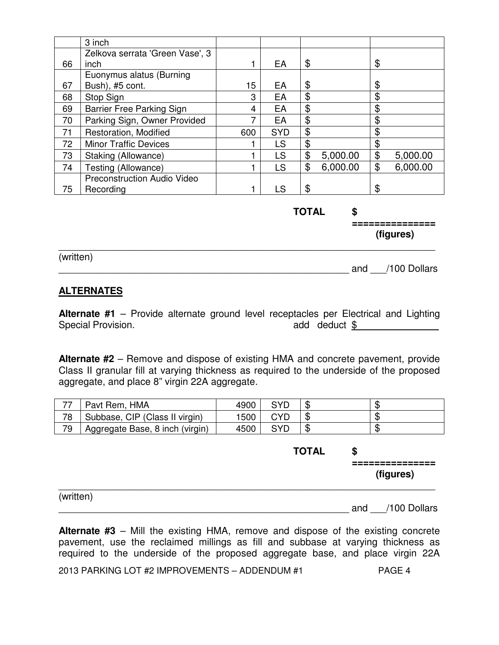|    | 3 inch                          |     |            |                |                |
|----|---------------------------------|-----|------------|----------------|----------------|
|    | Zelkova serrata 'Green Vase', 3 |     |            |                |                |
| 66 | inch                            |     | EA         | \$             | \$             |
|    | Euonymus alatus (Burning        |     |            |                |                |
| 67 | Bush), #5 cont.                 | 15  | EA         | \$             | \$             |
| 68 | Stop Sign                       | 3   | EA         | \$             | \$             |
| 69 | Barrier Free Parking Sign       | 4   | EA         | \$             | \$             |
| 70 | Parking Sign, Owner Provided    | 7   | EA         | \$             | \$             |
| 71 | Restoration, Modified           | 600 | <b>SYD</b> | \$             | \$             |
| 72 | <b>Minor Traffic Devices</b>    |     | LS         | \$             | \$             |
| 73 | Staking (Allowance)             |     | LS         | \$<br>5,000.00 | \$<br>5,000.00 |
| 74 | Testing (Allowance)             |     | LS         | \$<br>6,000.00 | \$<br>6,000.00 |
|    | Preconstruction Audio Video     |     |            |                |                |
| 75 | Recording                       |     | LS         | \$             | \$             |

**TOTAL \$**

 **=============== (figures)**

(written)

demand  $\sim$  /100 Dollars

# **ALTERNATES**

**Alternate #1** – Provide alternate ground level receptacles per Electrical and Lighting Special Provision. The contract of the contract of the contract of the contract of the contract of the contract of the contract of the contract of the contract of the contract of the contract of the contract of the contrac

\_\_\_\_\_\_\_\_\_\_\_\_\_\_\_\_\_\_\_\_\_\_\_\_\_\_\_\_\_\_\_\_\_\_\_\_\_\_\_\_\_\_\_\_\_\_\_\_\_\_\_\_\_\_\_\_\_\_\_\_\_\_\_\_\_\_\_\_\_\_

**Alternate #2** – Remove and dispose of existing HMA and concrete pavement, provide Class II granular fill at varying thickness as required to the underside of the proposed aggregate, and place 8" virgin 22A aggregate.

| 77 | Pavt Rem, HMA                   | 4900 | SYD | ъD | ₼<br>ъD |
|----|---------------------------------|------|-----|----|---------|
| 78 | Subbase, CIP (Class II virgin)  | 1500 | CYD | Œ  | ╓<br>ъĐ |
| 79 | Aggregate Base, 8 inch (virgin) | 4500 | SYD | ۰D | ₼<br>ъD |

|           | <b>TOTAL</b> | \$<br>---------<br>(figures) |
|-----------|--------------|------------------------------|
| (written) |              | and /100 Dollars             |

**Alternate #3** – Mill the existing HMA, remove and dispose of the existing concrete pavement, use the reclaimed millings as fill and subbase at varying thickness as required to the underside of the proposed aggregate base, and place virgin 22A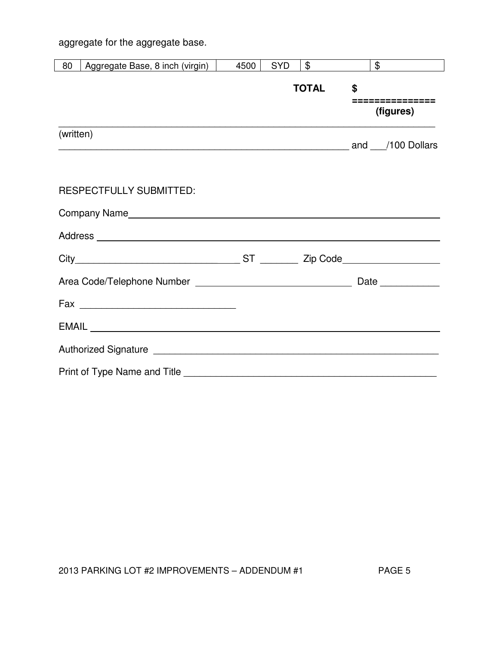aggregate for the aggregate base.

| 80        | Aggregate Base, 8 inch (virgin)        | 4500 | <b>SYD</b> | $\frac{1}{2}$ | $\frac{1}{2}$        |
|-----------|----------------------------------------|------|------------|---------------|----------------------|
|           |                                        |      |            | <b>TOTAL</b>  | \$<br>============== |
|           |                                        |      |            |               | (figures)            |
| (written) |                                        |      |            |               |                      |
|           |                                        |      |            |               |                      |
|           | <b>RESPECTFULLY SUBMITTED:</b>         |      |            |               |                      |
|           |                                        |      |            |               |                      |
|           |                                        |      |            |               |                      |
|           |                                        |      |            |               |                      |
|           |                                        |      |            |               | Date _____________   |
|           |                                        |      |            |               |                      |
|           | EMAIL <b>EXAMPLE AND SERVICE STATE</b> |      |            |               |                      |
|           |                                        |      |            |               |                      |
|           |                                        |      |            |               |                      |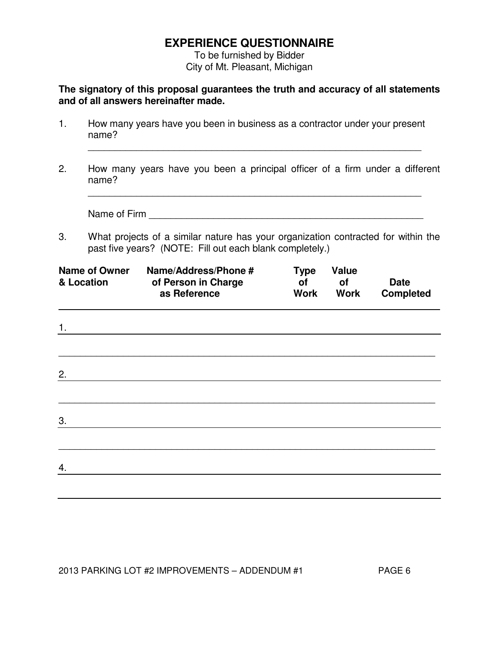# **EXPERIENCE QUESTIONNAIRE**

 To be furnished by Bidder City of Mt. Pleasant, Michigan

**The signatory of this proposal guarantees the truth and accuracy of all statements and of all answers hereinafter made.** 

| & Location | <b>Name of Owner</b> | Name/Address/Phone #<br>of Person in Charge<br>as Reference                 |  | <b>Type</b><br>Οf<br><b>Work</b> | <b>Value</b><br>οf<br><b>Work</b> | Date<br><b>Completed</b>                                                          |
|------------|----------------------|-----------------------------------------------------------------------------|--|----------------------------------|-----------------------------------|-----------------------------------------------------------------------------------|
| 3.         | Name of Firm         | past five years? (NOTE: Fill out each blank completely.)                    |  |                                  |                                   | What projects of a similar nature has your organization contracted for within the |
| 2.         | name?                |                                                                             |  |                                  |                                   | How many years have you been a principal officer of a firm under a different      |
| 1.         | name?                | How many years have you been in business as a contractor under your present |  |                                  |                                   |                                                                                   |

| 1. |  |  |  |
|----|--|--|--|
|    |  |  |  |
| 2. |  |  |  |
|    |  |  |  |
| 3. |  |  |  |
|    |  |  |  |
| 4. |  |  |  |
|    |  |  |  |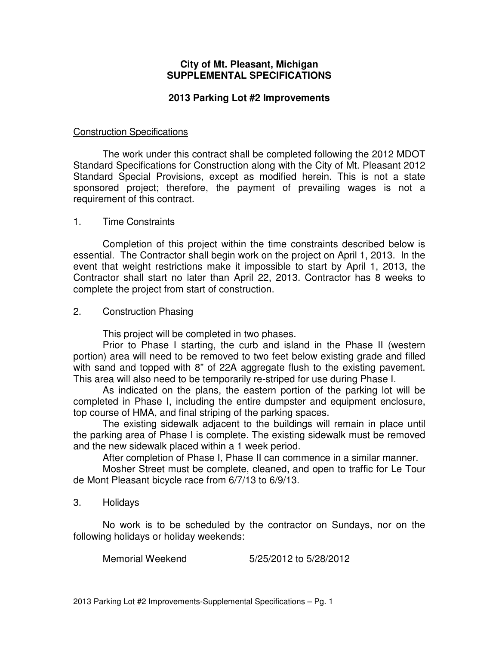# **City of Mt. Pleasant, Michigan SUPPLEMENTAL SPECIFICATIONS**

# **2013 Parking Lot #2 Improvements**

# Construction Specifications

 The work under this contract shall be completed following the 2012 MDOT Standard Specifications for Construction along with the City of Mt. Pleasant 2012 Standard Special Provisions, except as modified herein. This is not a state sponsored project; therefore, the payment of prevailing wages is not a requirement of this contract.

# 1. Time Constraints

 Completion of this project within the time constraints described below is essential. The Contractor shall begin work on the project on April 1, 2013. In the event that weight restrictions make it impossible to start by April 1, 2013, the Contractor shall start no later than April 22, 2013. Contractor has 8 weeks to complete the project from start of construction.

# 2. Construction Phasing

This project will be completed in two phases.

Prior to Phase I starting, the curb and island in the Phase II (western portion) area will need to be removed to two feet below existing grade and filled with sand and topped with 8" of 22A aggregate flush to the existing pavement. This area will also need to be temporarily re-striped for use during Phase I.

As indicated on the plans, the eastern portion of the parking lot will be completed in Phase I, including the entire dumpster and equipment enclosure, top course of HMA, and final striping of the parking spaces.

The existing sidewalk adjacent to the buildings will remain in place until the parking area of Phase I is complete. The existing sidewalk must be removed and the new sidewalk placed within a 1 week period.

After completion of Phase I, Phase II can commence in a similar manner.

Mosher Street must be complete, cleaned, and open to traffic for Le Tour de Mont Pleasant bicycle race from 6/7/13 to 6/9/13.

### 3. Holidays

 No work is to be scheduled by the contractor on Sundays, nor on the following holidays or holiday weekends:

Memorial Weekend 5/25/2012 to 5/28/2012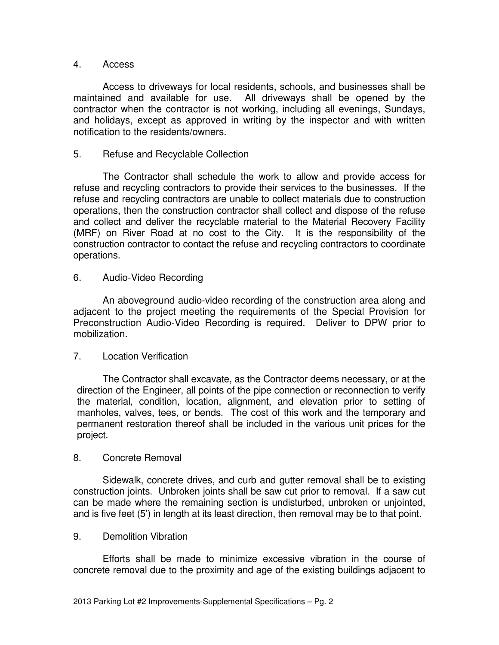# 4. Access

Access to driveways for local residents, schools, and businesses shall be maintained and available for use. All driveways shall be opened by the contractor when the contractor is not working, including all evenings, Sundays, and holidays, except as approved in writing by the inspector and with written notification to the residents/owners.

# 5. Refuse and Recyclable Collection

The Contractor shall schedule the work to allow and provide access for refuse and recycling contractors to provide their services to the businesses. If the refuse and recycling contractors are unable to collect materials due to construction operations, then the construction contractor shall collect and dispose of the refuse and collect and deliver the recyclable material to the Material Recovery Facility (MRF) on River Road at no cost to the City. It is the responsibility of the construction contractor to contact the refuse and recycling contractors to coordinate operations.

# 6. Audio-Video Recording

An aboveground audio-video recording of the construction area along and adjacent to the project meeting the requirements of the Special Provision for Preconstruction Audio-Video Recording is required. Deliver to DPW prior to mobilization.

# 7. Location Verification

The Contractor shall excavate, as the Contractor deems necessary, or at the direction of the Engineer, all points of the pipe connection or reconnection to verify the material, condition, location, alignment, and elevation prior to setting of manholes, valves, tees, or bends. The cost of this work and the temporary and permanent restoration thereof shall be included in the various unit prices for the project.

# 8. Concrete Removal

Sidewalk, concrete drives, and curb and gutter removal shall be to existing construction joints. Unbroken joints shall be saw cut prior to removal. If a saw cut can be made where the remaining section is undisturbed, unbroken or unjointed, and is five feet (5') in length at its least direction, then removal may be to that point.

### 9. Demolition Vibration

Efforts shall be made to minimize excessive vibration in the course of concrete removal due to the proximity and age of the existing buildings adjacent to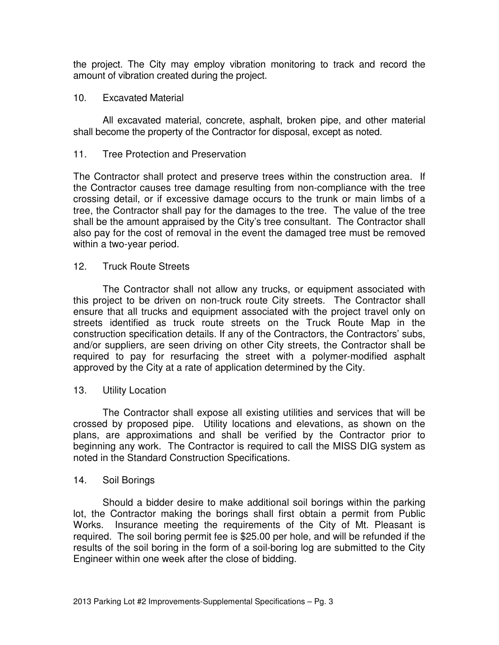the project. The City may employ vibration monitoring to track and record the amount of vibration created during the project.

# 10. Excavated Material

 All excavated material, concrete, asphalt, broken pipe, and other material shall become the property of the Contractor for disposal, except as noted.

# 11. Tree Protection and Preservation

The Contractor shall protect and preserve trees within the construction area. If the Contractor causes tree damage resulting from non-compliance with the tree crossing detail, or if excessive damage occurs to the trunk or main limbs of a tree, the Contractor shall pay for the damages to the tree. The value of the tree shall be the amount appraised by the City's tree consultant. The Contractor shall also pay for the cost of removal in the event the damaged tree must be removed within a two-year period.

### 12. Truck Route Streets

The Contractor shall not allow any trucks, or equipment associated with this project to be driven on non-truck route City streets. The Contractor shall ensure that all trucks and equipment associated with the project travel only on streets identified as truck route streets on the Truck Route Map in the construction specification details. If any of the Contractors, the Contractors' subs, and/or suppliers, are seen driving on other City streets, the Contractor shall be required to pay for resurfacing the street with a polymer-modified asphalt approved by the City at a rate of application determined by the City.

### 13. Utility Location

The Contractor shall expose all existing utilities and services that will be crossed by proposed pipe. Utility locations and elevations, as shown on the plans, are approximations and shall be verified by the Contractor prior to beginning any work. The Contractor is required to call the MISS DIG system as noted in the Standard Construction Specifications.

### 14. Soil Borings

Should a bidder desire to make additional soil borings within the parking lot, the Contractor making the borings shall first obtain a permit from Public Works. Insurance meeting the requirements of the City of Mt. Pleasant is required. The soil boring permit fee is \$25.00 per hole, and will be refunded if the results of the soil boring in the form of a soil-boring log are submitted to the City Engineer within one week after the close of bidding.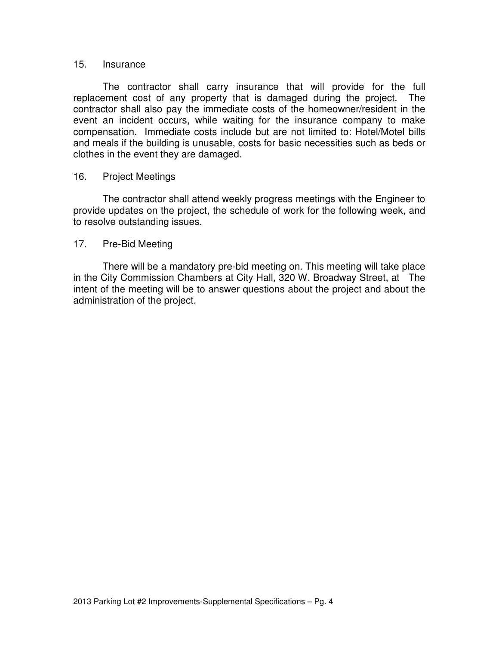### 15. Insurance

The contractor shall carry insurance that will provide for the full replacement cost of any property that is damaged during the project. The contractor shall also pay the immediate costs of the homeowner/resident in the event an incident occurs, while waiting for the insurance company to make compensation. Immediate costs include but are not limited to: Hotel/Motel bills and meals if the building is unusable, costs for basic necessities such as beds or clothes in the event they are damaged.

### 16. Project Meetings

The contractor shall attend weekly progress meetings with the Engineer to provide updates on the project, the schedule of work for the following week, and to resolve outstanding issues.

### 17. Pre-Bid Meeting

There will be a mandatory pre-bid meeting on. This meeting will take place in the City Commission Chambers at City Hall, 320 W. Broadway Street, at The intent of the meeting will be to answer questions about the project and about the administration of the project.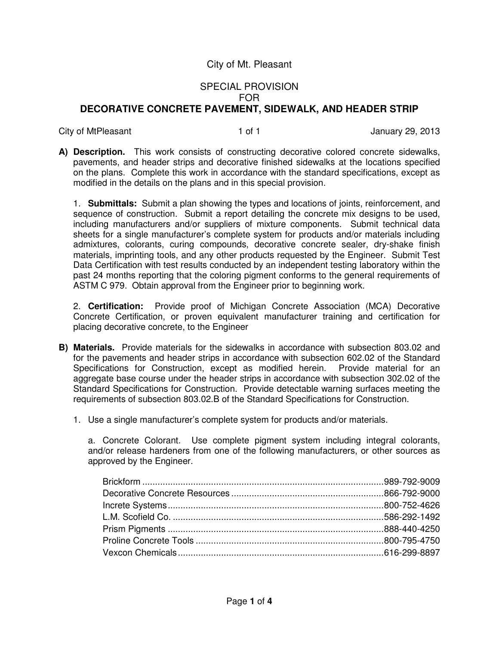# SPECIAL PROVISION FOR **DECORATIVE CONCRETE PAVEMENT, SIDEWALK, AND HEADER STRIP**

City of MtPleasant 1 of 1 and 29, 2013

**A) Description.** This work consists of constructing decorative colored concrete sidewalks, pavements, and header strips and decorative finished sidewalks at the locations specified on the plans. Complete this work in accordance with the standard specifications, except as modified in the details on the plans and in this special provision.

1. **Submittals:** Submit a plan showing the types and locations of joints, reinforcement, and sequence of construction. Submit a report detailing the concrete mix designs to be used, including manufacturers and/or suppliers of mixture components. Submit technical data sheets for a single manufacturer's complete system for products and/or materials including admixtures, colorants, curing compounds, decorative concrete sealer, dry-shake finish materials, imprinting tools, and any other products requested by the Engineer. Submit Test Data Certification with test results conducted by an independent testing laboratory within the past 24 months reporting that the coloring pigment conforms to the general requirements of ASTM C 979. Obtain approval from the Engineer prior to beginning work.

2. **Certification:** Provide proof of Michigan Concrete Association (MCA) Decorative Concrete Certification, or proven equivalent manufacturer training and certification for placing decorative concrete, to the Engineer

- **B) Materials.** Provide materials for the sidewalks in accordance with subsection 803.02 and for the pavements and header strips in accordance with subsection 602.02 of the Standard Specifications for Construction, except as modified herein. Provide material for an aggregate base course under the header strips in accordance with subsection 302.02 of the Standard Specifications for Construction. Provide detectable warning surfaces meeting the requirements of subsection 803.02.B of the Standard Specifications for Construction.
	- 1. Use a single manufacturer's complete system for products and/or materials.

a. Concrete Colorant. Use complete pigment system including integral colorants, and/or release hardeners from one of the following manufacturers, or other sources as approved by the Engineer.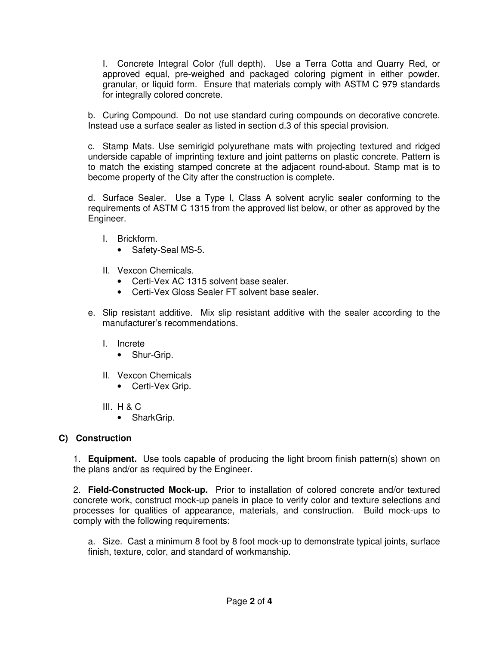I. Concrete Integral Color (full depth). Use a Terra Cotta and Quarry Red, or approved equal, pre-weighed and packaged coloring pigment in either powder, granular, or liquid form. Ensure that materials comply with ASTM C 979 standards for integrally colored concrete.

b. Curing Compound. Do not use standard curing compounds on decorative concrete. Instead use a surface sealer as listed in section d.3 of this special provision.

c. Stamp Mats. Use semirigid polyurethane mats with projecting textured and ridged underside capable of imprinting texture and joint patterns on plastic concrete. Pattern is to match the existing stamped concrete at the adjacent round-about. Stamp mat is to become property of the City after the construction is complete.

d. Surface Sealer. Use a Type I, Class A solvent acrylic sealer conforming to the requirements of ASTM C 1315 from the approved list below, or other as approved by the Engineer.

- I. Brickform.
	- Safety-Seal MS-5.
- II. Vexcon Chemicals.
	- Certi-Vex AC 1315 solvent base sealer.
	- Certi-Vex Gloss Sealer FT solvent base sealer.
- e. Slip resistant additive. Mix slip resistant additive with the sealer according to the manufacturer's recommendations.
	- I. Increte
		- Shur-Grip.
	- II. Vexcon Chemicals
		- Certi-Vex Grip.
	- III. H & C
		- SharkGrip.

# **C) Construction**

1. **Equipment.** Use tools capable of producing the light broom finish pattern(s) shown on the plans and/or as required by the Engineer.

2. **Field-Constructed Mock-up.** Prior to installation of colored concrete and/or textured concrete work, construct mock-up panels in place to verify color and texture selections and processes for qualities of appearance, materials, and construction. Build mock-ups to comply with the following requirements:

a. Size. Cast a minimum 8 foot by 8 foot mock-up to demonstrate typical joints, surface finish, texture, color, and standard of workmanship.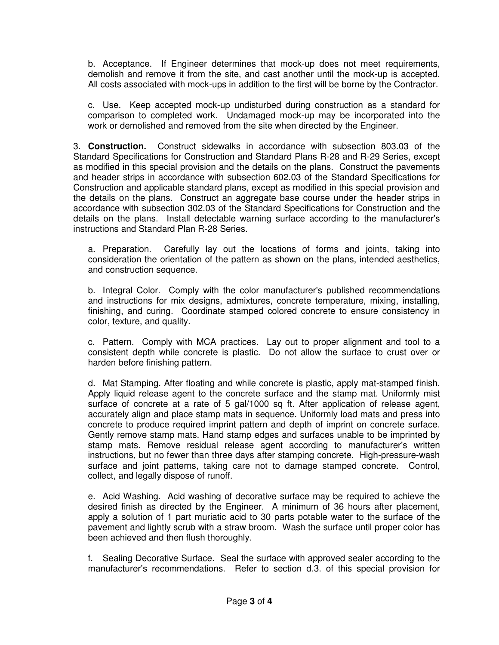b. Acceptance. If Engineer determines that mock-up does not meet requirements, demolish and remove it from the site, and cast another until the mock-up is accepted. All costs associated with mock-ups in addition to the first will be borne by the Contractor.

c. Use. Keep accepted mock-up undisturbed during construction as a standard for comparison to completed work. Undamaged mock-up may be incorporated into the work or demolished and removed from the site when directed by the Engineer.

3. **Construction.** Construct sidewalks in accordance with subsection 803.03 of the Standard Specifications for Construction and Standard Plans R-28 and R-29 Series, except as modified in this special provision and the details on the plans. Construct the pavements and header strips in accordance with subsection 602.03 of the Standard Specifications for Construction and applicable standard plans, except as modified in this special provision and the details on the plans. Construct an aggregate base course under the header strips in accordance with subsection 302.03 of the Standard Specifications for Construction and the details on the plans. Install detectable warning surface according to the manufacturer's instructions and Standard Plan R-28 Series.

a. Preparation. Carefully lay out the locations of forms and joints, taking into consideration the orientation of the pattern as shown on the plans, intended aesthetics, and construction sequence.

b. Integral Color. Comply with the color manufacturer's published recommendations and instructions for mix designs, admixtures, concrete temperature, mixing, installing, finishing, and curing. Coordinate stamped colored concrete to ensure consistency in color, texture, and quality.

c. Pattern. Comply with MCA practices. Lay out to proper alignment and tool to a consistent depth while concrete is plastic. Do not allow the surface to crust over or harden before finishing pattern.

d. Mat Stamping. After floating and while concrete is plastic, apply mat-stamped finish. Apply liquid release agent to the concrete surface and the stamp mat. Uniformly mist surface of concrete at a rate of 5 gal/1000 sq ft. After application of release agent, accurately align and place stamp mats in sequence. Uniformly load mats and press into concrete to produce required imprint pattern and depth of imprint on concrete surface. Gently remove stamp mats. Hand stamp edges and surfaces unable to be imprinted by stamp mats. Remove residual release agent according to manufacturer's written instructions, but no fewer than three days after stamping concrete. High-pressure-wash surface and joint patterns, taking care not to damage stamped concrete. Control, collect, and legally dispose of runoff.

e. Acid Washing. Acid washing of decorative surface may be required to achieve the desired finish as directed by the Engineer. A minimum of 36 hours after placement, apply a solution of 1 part muriatic acid to 30 parts potable water to the surface of the pavement and lightly scrub with a straw broom. Wash the surface until proper color has been achieved and then flush thoroughly.

f. Sealing Decorative Surface. Seal the surface with approved sealer according to the manufacturer's recommendations. Refer to section d.3. of this special provision for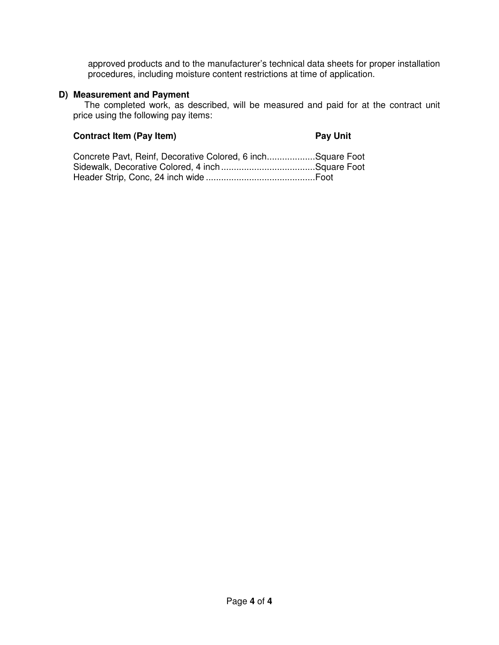approved products and to the manufacturer's technical data sheets for proper installation procedures, including moisture content restrictions at time of application.

# **D) Measurement and Payment**

The completed work, as described, will be measured and paid for at the contract unit price using the following pay items:

# **Contract Item (Pay Item)** Pay Unit

| Concrete Pavt, Reinf, Decorative Colored, 6 inchSquare Foot |  |
|-------------------------------------------------------------|--|
|                                                             |  |
|                                                             |  |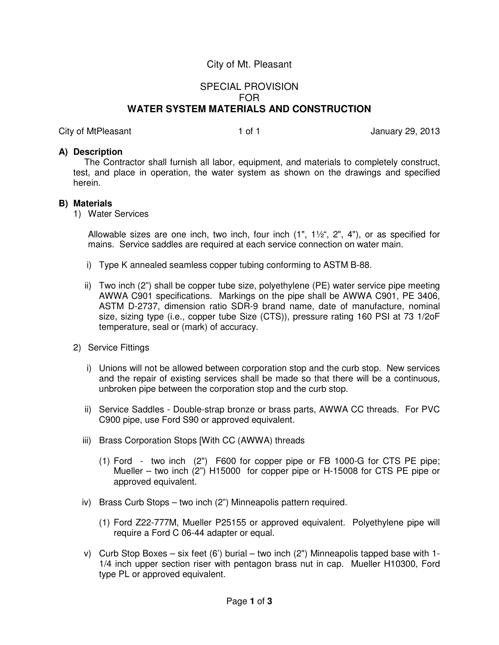# SPECIAL PROVISION FOR **WATER SYSTEM MATERIALS AND CONSTRUCTION**

City of MtPleasant 1 of 1 animal control 1 of 1 animal control of 1 animal control 1 of 1

### **A) Description**

The Contractor shall furnish all labor, equipment, and materials to completely construct, test, and place in operation, the water system as shown on the drawings and specified herein.

### **B) Materials**

1) Water Services

Allowable sizes are one inch, two inch, four inch  $(1", 1\frac{1}{2}; 2", 4")$ , or as specified for mains. Service saddles are required at each service connection on water main.

- i) Type K annealed seamless copper tubing conforming to ASTM B-88.
- ii) Two inch (2") shall be copper tube size, polyethylene (PE) water service pipe meeting AWWA C901 specifications. Markings on the pipe shall be AWWA C901, PE 3406, ASTM D-2737, dimension ratio SDR-9 brand name, date of manufacture, nominal size, sizing type (i.e., copper tube Size (CTS)), pressure rating 160 PSI at 73 1/2oF temperature, seal or (mark) of accuracy.
- 2) Service Fittings
	- i) Unions will not be allowed between corporation stop and the curb stop. New services and the repair of existing services shall be made so that there will be a continuous, unbroken pipe between the corporation stop and the curb stop.
	- ii) Service Saddles Double-strap bronze or brass parts, AWWA CC threads. For PVC C900 pipe, use Ford S90 or approved equivalent.
	- iii) Brass Corporation Stops [With CC (AWWA) threads
		- (1) Ford two inch (2") F600 for copper pipe or FB 1000-G for CTS PE pipe; Mueller – two inch (2") H15000 for copper pipe or H-15008 for CTS PE pipe or approved equivalent.
	- iv) Brass Curb Stops two inch (2") Minneapolis pattern required.
		- (1) Ford Z22-777M, Mueller P25155 or approved equivalent. Polyethylene pipe will require a Ford C 06-44 adapter or equal.
	- v) Curb Stop Boxes six feet (6') burial two inch (2") Minneapolis tapped base with 1- 1/4 inch upper section riser with pentagon brass nut in cap. Mueller H10300, Ford type PL or approved equivalent.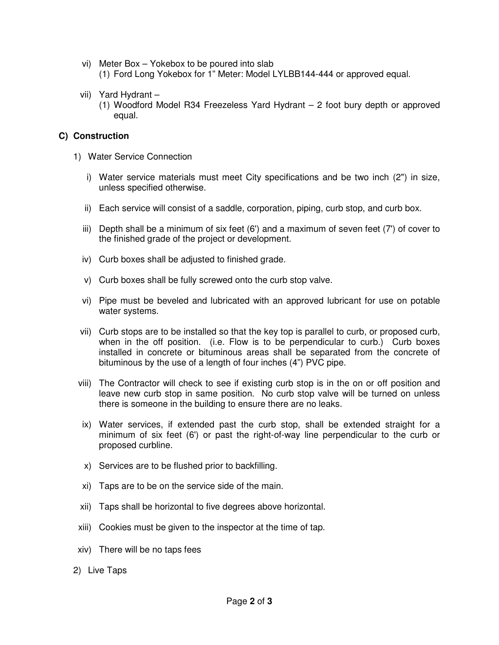- vi) Meter Box Yokebox to be poured into slab (1) Ford Long Yokebox for 1" Meter: Model LYLBB144-444 or approved equal.
- vii) Yard Hydrant
	- (1) Woodford Model R34 Freezeless Yard Hydrant 2 foot bury depth or approved equal.

## **C) Construction**

- 1) Water Service Connection
	- i) Water service materials must meet City specifications and be two inch (2") in size, unless specified otherwise.
	- ii) Each service will consist of a saddle, corporation, piping, curb stop, and curb box.
	- iii) Depth shall be a minimum of six feet (6') and a maximum of seven feet (7') of cover to the finished grade of the project or development.
	- iv) Curb boxes shall be adjusted to finished grade.
	- v) Curb boxes shall be fully screwed onto the curb stop valve.
	- vi) Pipe must be beveled and lubricated with an approved lubricant for use on potable water systems.
	- vii) Curb stops are to be installed so that the key top is parallel to curb, or proposed curb, when in the off position. (i.e. Flow is to be perpendicular to curb.) Curb boxes installed in concrete or bituminous areas shall be separated from the concrete of bituminous by the use of a length of four inches (4") PVC pipe.
- viii) The Contractor will check to see if existing curb stop is in the on or off position and leave new curb stop in same position. No curb stop valve will be turned on unless there is someone in the building to ensure there are no leaks.
- ix) Water services, if extended past the curb stop, shall be extended straight for a minimum of six feet (6') or past the right-of-way line perpendicular to the curb or proposed curbline.
- x) Services are to be flushed prior to backfilling.
- xi) Taps are to be on the service side of the main.
- xii) Taps shall be horizontal to five degrees above horizontal.
- xiii) Cookies must be given to the inspector at the time of tap.
- xiv) There will be no taps fees
- 2) Live Taps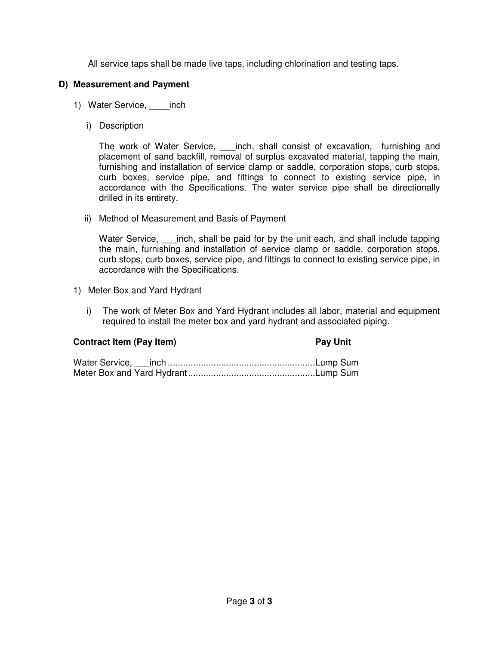All service taps shall be made live taps, including chlorination and testing taps.

# **D) Measurement and Payment**

- 1) Water Service, \_\_\_\_inch
	- i) Description

The work of Water Service, \_\_\_inch, shall consist of excavation, furnishing and placement of sand backfill, removal of surplus excavated material, tapping the main, furnishing and installation of service clamp or saddle, corporation stops, curb stops, curb boxes, service pipe, and fittings to connect to existing service pipe, in accordance with the Specifications. The water service pipe shall be directionally drilled in its entirety.

ii) Method of Measurement and Basis of Payment

Water Service, \_\_\_\_inch, shall be paid for by the unit each, and shall include tapping the main, furnishing and installation of service clamp or saddle, corporation stops, curb stops, curb boxes, service pipe, and fittings to connect to existing service pipe, in accordance with the Specifications.

- 1) Meter Box and Yard Hydrant
	- i) The work of Meter Box and Yard Hydrant includes all labor, material and equipment required to install the meter box and yard hydrant and associated piping.

# **Contract Item (Pay Item)** Pay Unit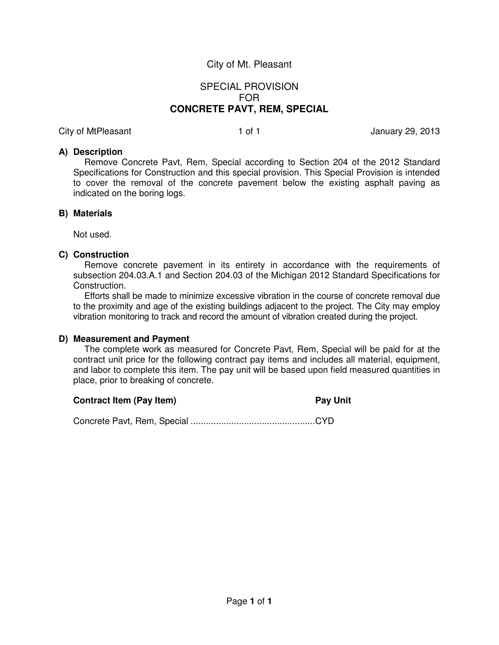# SPECIAL PROVISION FOR **CONCRETE PAVT, REM, SPECIAL**

City of MtPleasant 1 of 1 animal control 1 of 1 animal control of 1 animal control 1 of 1

### **A) Description**

Remove Concrete Pavt, Rem, Special according to Section 204 of the 2012 Standard Specifications for Construction and this special provision. This Special Provision is intended to cover the removal of the concrete pavement below the existing asphalt paving as indicated on the boring logs.

### **B) Materials**

Not used.

### **C) Construction**

Remove concrete pavement in its entirety in accordance with the requirements of subsection 204.03.A.1 and Section 204.03 of the Michigan 2012 Standard Specifications for Construction.

Efforts shall be made to minimize excessive vibration in the course of concrete removal due to the proximity and age of the existing buildings adjacent to the project. The City may employ vibration monitoring to track and record the amount of vibration created during the project.

### **D) Measurement and Payment**

The complete work as measured for Concrete Pavt, Rem, Special will be paid for at the contract unit price for the following contract pay items and includes all material, equipment, and labor to complete this item. The pay unit will be based upon field measured quantities in place, prior to breaking of concrete.

### **Contract Item (Pay Item)** Pay Unit

Concrete Pavt, Rem, Special ................................................. CYD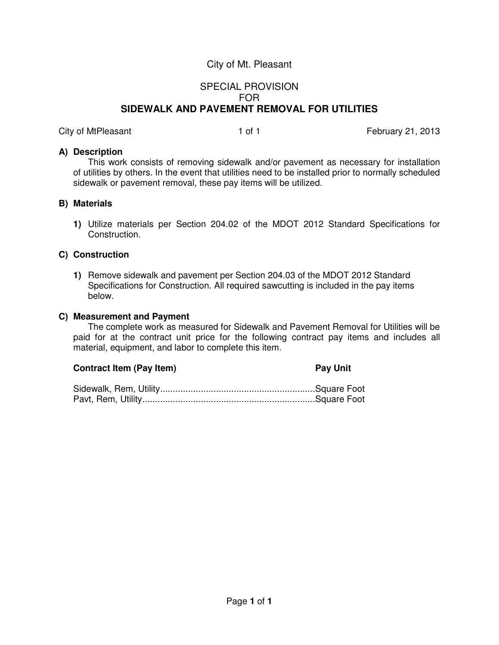# SPECIAL PROVISION FOR **SIDEWALK AND PAVEMENT REMOVAL FOR UTILITIES**

City of MtPleasant 1 of 1 Tebruary 21, 2013

### **A) Description**

This work consists of removing sidewalk and/or pavement as necessary for installation of utilities by others. In the event that utilities need to be installed prior to normally scheduled sidewalk or pavement removal, these pay items will be utilized.

### **B) Materials**

**1)** Utilize materials per Section 204.02 of the MDOT 2012 Standard Specifications for Construction.

### **C) Construction**

**1)** Remove sidewalk and pavement per Section 204.03 of the MDOT 2012 Standard Specifications for Construction. All required sawcutting is included in the pay items below.

### **C) Measurement and Payment**

The complete work as measured for Sidewalk and Pavement Removal for Utilities will be paid for at the contract unit price for the following contract pay items and includes all material, equipment, and labor to complete this item.

### **Contract Item (Pay Item)** Pay Unit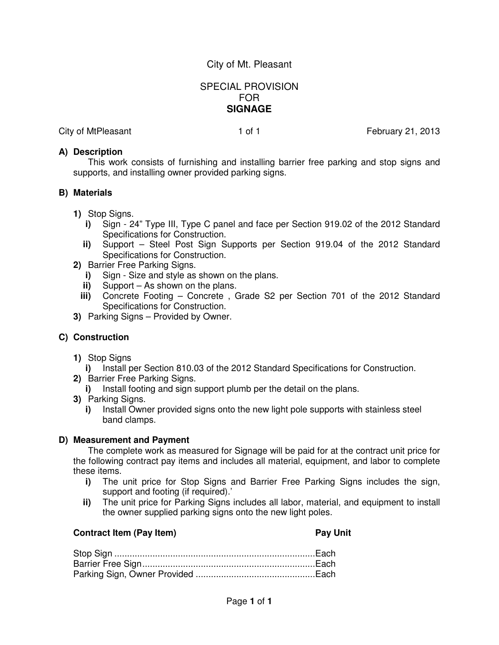# SPECIAL PROVISION FOR **SIGNAGE**

City of MtPleasant 1 of 1 Tebruary 21, 2013

### **A) Description**

This work consists of furnishing and installing barrier free parking and stop signs and supports, and installing owner provided parking signs.

### **B) Materials**

- **1)** Stop Signs.
	- **i)** Sign 24" Type III, Type C panel and face per Section 919.02 of the 2012 Standard Specifications for Construction.
	- **ii)** Support Steel Post Sign Supports per Section 919.04 of the 2012 Standard Specifications for Construction.
- **2)** Barrier Free Parking Signs.
	- **i)** Sign Size and style as shown on the plans.
	- **ii)** Support As shown on the plans.
	- **iii)** Concrete Footing Concrete , Grade S2 per Section 701 of the 2012 Standard Specifications for Construction.
- **3)** Parking Signs Provided by Owner.

### **C) Construction**

- **1)** Stop Signs
	- **i)** Install per Section 810.03 of the 2012 Standard Specifications for Construction.
- **2)** Barrier Free Parking Signs.
	- **i)** Install footing and sign support plumb per the detail on the plans.
- **3)** Parking Signs.
	- **i)** Install Owner provided signs onto the new light pole supports with stainless steel band clamps.

### **D) Measurement and Payment**

The complete work as measured for Signage will be paid for at the contract unit price for the following contract pay items and includes all material, equipment, and labor to complete these items.

- **i)** The unit price for Stop Signs and Barrier Free Parking Signs includes the sign, support and footing (if required).'
- **ii)** The unit price for Parking Signs includes all labor, material, and equipment to install the owner supplied parking signs onto the new light poles.

### **Contract Item (Pay Item)** Pay Unit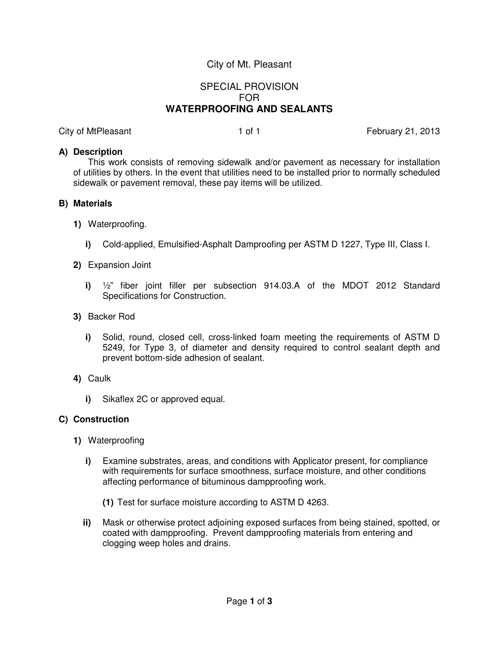# SPECIAL PROVISION FOR **WATERPROOFING AND SEALANTS**

City of MtPleasant 1 of 1 Tebruary 21, 2013

### **A) Description**

This work consists of removing sidewalk and/or pavement as necessary for installation of utilities by others. In the event that utilities need to be installed prior to normally scheduled sidewalk or pavement removal, these pay items will be utilized.

### **B) Materials**

- **1)** Waterproofing.
	- **i)** Cold-applied, Emulsified-Asphalt Damproofing per ASTM D 1227, Type III, Class I.
- **2)** Expansion Joint
	- **i)** ½" fiber joint filler per subsection 914.03.A of the MDOT 2012 Standard Specifications for Construction.
- **3)** Backer Rod
	- **i)** Solid, round, closed cell, cross-linked foam meeting the requirements of ASTM D 5249, for Type 3, of diameter and density required to control sealant depth and prevent bottom-side adhesion of sealant.
- **4)** Caulk
	- **i)** Sikaflex 2C or approved equal.

### **C) Construction**

- **1)** Waterproofing
	- **i)** Examine substrates, areas, and conditions with Applicator present, for compliance with requirements for surface smoothness, surface moisture, and other conditions affecting performance of bituminous dampproofing work.
		- **(1)** Test for surface moisture according to ASTM D 4263.
	- **ii)** Mask or otherwise protect adjoining exposed surfaces from being stained, spotted, or coated with dampproofing. Prevent dampproofing materials from entering and clogging weep holes and drains.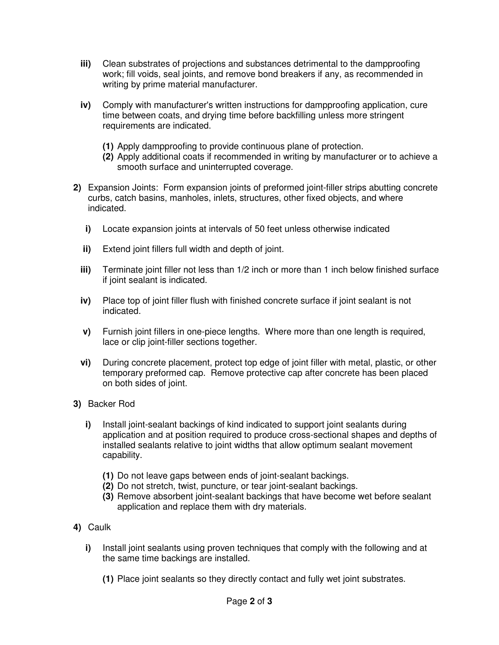- **iii)** Clean substrates of projections and substances detrimental to the dampproofing work; fill voids, seal joints, and remove bond breakers if any, as recommended in writing by prime material manufacturer.
- **iv)** Comply with manufacturer's written instructions for dampproofing application, cure time between coats, and drying time before backfilling unless more stringent requirements are indicated.
	- **(1)** Apply dampproofing to provide continuous plane of protection.
	- **(2)** Apply additional coats if recommended in writing by manufacturer or to achieve a smooth surface and uninterrupted coverage.
- **2)** Expansion Joints: Form expansion joints of preformed joint-filler strips abutting concrete curbs, catch basins, manholes, inlets, structures, other fixed objects, and where indicated.
	- **i)** Locate expansion joints at intervals of 50 feet unless otherwise indicated
	- **ii)** Extend joint fillers full width and depth of joint.
	- **iii)** Terminate joint filler not less than 1/2 inch or more than 1 inch below finished surface if joint sealant is indicated.
	- **iv)** Place top of joint filler flush with finished concrete surface if joint sealant is not indicated.
	- **v)** Furnish joint fillers in one-piece lengths. Where more than one length is required, lace or clip joint-filler sections together.
	- **vi)** During concrete placement, protect top edge of joint filler with metal, plastic, or other temporary preformed cap. Remove protective cap after concrete has been placed on both sides of joint.
- **3)** Backer Rod
	- **i)** Install joint-sealant backings of kind indicated to support joint sealants during application and at position required to produce cross-sectional shapes and depths of installed sealants relative to joint widths that allow optimum sealant movement capability.
		- **(1)** Do not leave gaps between ends of joint-sealant backings.
		- **(2)** Do not stretch, twist, puncture, or tear joint-sealant backings.
		- **(3)** Remove absorbent joint-sealant backings that have become wet before sealant application and replace them with dry materials.
- **4)** Caulk
	- **i)** Install joint sealants using proven techniques that comply with the following and at the same time backings are installed.
		- **(1)** Place joint sealants so they directly contact and fully wet joint substrates.